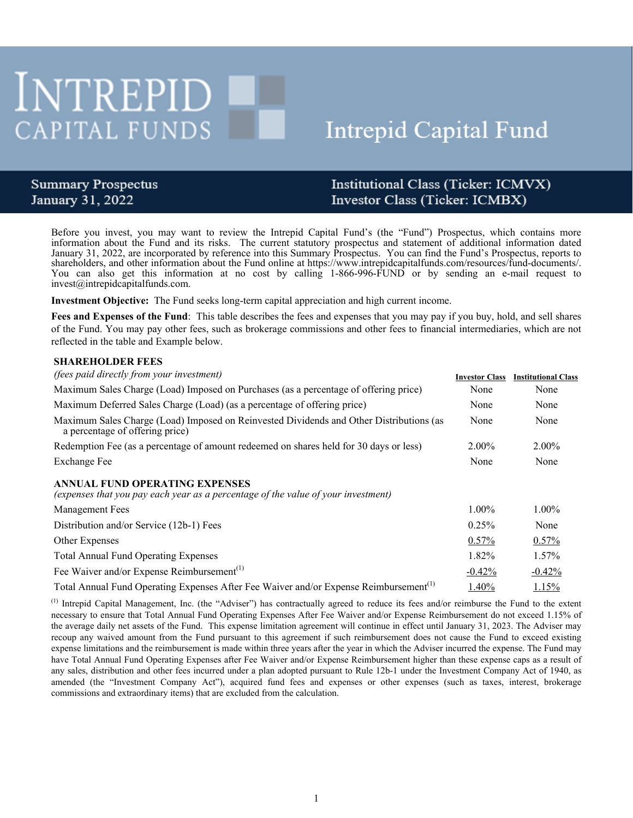# INTREPID CAPITAL FUNDS

# **Intrepid Capital Fund**

## **Summary Prospectus** January 31, 2022

# Institutional Class (Ticker: ICMVX) Investor Class (Ticker: ICMBX)

Before you invest, you may want to review the Intrepid Capital Fund's (the "Fund") Prospectus, which contains more information about the Fund and its risks. The current statutory prospectus and statement of additional information dated January 31, 2022, are incorporated by reference into this Summary Prospectus. You can find the Fund's Prospectus, reports to shareholders, and other information about the Fund online at https://www.intrepidcapitalfunds.com/resources/fund-documents/. You can also get this information at no cost by calling 1-866-996-FUND or by sending an e-mail request to invest@intrepidcapitalfunds.com.

**Investment Objective:** The Fund seeks long-term capital appreciation and high current income.

**Fees and Expenses of the Fund**: This table describes the fees and expenses that you may pay if you buy, hold, and sell shares of the Fund. You may pay other fees, such as brokerage commissions and other fees to financial intermediaries, which are not reflected in the table and Example below.

#### **SHAREHOLDER FEES**

| <i>(fees paid directly from your investment)</i>                                                                           | <b>Investor Class</b> | <b>Institutional Class</b> |
|----------------------------------------------------------------------------------------------------------------------------|-----------------------|----------------------------|
| Maximum Sales Charge (Load) Imposed on Purchases (as a percentage of offering price)                                       | None                  | None                       |
| Maximum Deferred Sales Charge (Load) (as a percentage of offering price)                                                   | None                  | None                       |
| Maximum Sales Charge (Load) Imposed on Reinvested Dividends and Other Distributions (as<br>a percentage of offering price) | None                  | None                       |
| Redemption Fee (as a percentage of amount redeemed on shares held for 30 days or less)                                     | $2.00\%$              | $2.00\%$                   |
| Exchange Fee                                                                                                               | None                  | None                       |
| ANNUAL FUND OPERATING EXPENSES<br>(expenses that you pay each year as a percentage of the value of your investment)        |                       |                            |
| Management Fees                                                                                                            | $1.00\%$              | $1.00\%$                   |
| Distribution and/or Service (12b-1) Fees                                                                                   | 0.25%                 | None                       |
| Other Expenses                                                                                                             | $0.57\%$              | 0.57%                      |
| <b>Total Annual Fund Operating Expenses</b>                                                                                | 1.82%                 | $1.57\%$                   |
| Fee Waiver and/or Expense Reimbursement <sup>(1)</sup>                                                                     | $-0.42%$              | $-0.42%$                   |
| Total Annual Fund Operating Expenses After Fee Waiver and/or Expense Reimbursement <sup>(1)</sup>                          | 1.40%                 | 1.15%                      |

(1) Intrepid Capital Management, Inc. (the "Adviser") has contractually agreed to reduce its fees and/or reimburse the Fund to the extent necessary to ensure that Total Annual Fund Operating Expenses After Fee Waiver and/or Expense Reimbursement do not exceed 1.15% of the average daily net assets of the Fund. This expense limitation agreement will continue in effect until January 31, 2023. The Adviser may recoup any waived amount from the Fund pursuant to this agreement if such reimbursement does not cause the Fund to exceed existing expense limitations and the reimbursement is made within three years after the year in which the Adviser incurred the expense. The Fund may have Total Annual Fund Operating Expenses after Fee Waiver and/or Expense Reimbursement higher than these expense caps as a result of any sales, distribution and other fees incurred under a plan adopted pursuant to Rule 12b-1 under the Investment Company Act of 1940, as amended (the "Investment Company Act"), acquired fund fees and expenses or other expenses (such as taxes, interest, brokerage commissions and extraordinary items) that are excluded from the calculation.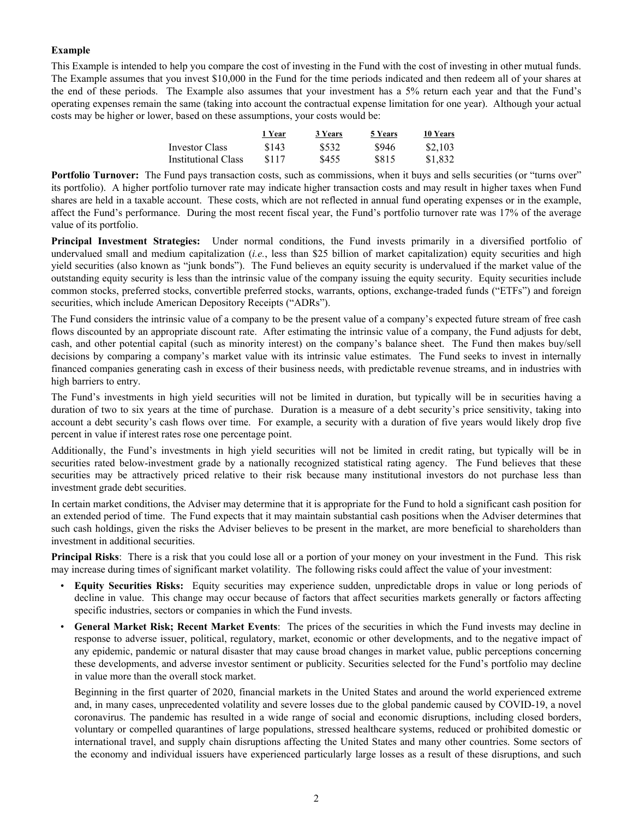#### **Example**

This Example is intended to help you compare the cost of investing in the Fund with the cost of investing in other mutual funds. The Example assumes that you invest \$10,000 in the Fund for the time periods indicated and then redeem all of your shares at the end of these periods. The Example also assumes that your investment has a 5% return each year and that the Fund's operating expenses remain the same (taking into account the contractual expense limitation for one year). Although your actual costs may be higher or lower, based on these assumptions, your costs would be:

|                     | 1 Year | 3 Years | 5 Years | 10 Years |
|---------------------|--------|---------|---------|----------|
| Investor Class      | \$143  | \$532   | \$946   | \$2.103  |
| Institutional Class | \$117  | \$455   | \$815   | \$1.832  |

**Portfolio Turnover:** The Fund pays transaction costs, such as commissions, when it buys and sells securities (or "turns over" its portfolio). A higher portfolio turnover rate may indicate higher transaction costs and may result in higher taxes when Fund shares are held in a taxable account. These costs, which are not reflected in annual fund operating expenses or in the example, affect the Fund's performance. During the most recent fiscal year, the Fund's portfolio turnover rate was 17% of the average value of its portfolio.

**Principal Investment Strategies:** Under normal conditions, the Fund invests primarily in a diversified portfolio of undervalued small and medium capitalization (*i.e.*, less than \$25 billion of market capitalization) equity securities and high yield securities (also known as "junk bonds"). The Fund believes an equity security is undervalued if the market value of the outstanding equity security is less than the intrinsic value of the company issuing the equity security. Equity securities include common stocks, preferred stocks, convertible preferred stocks, warrants, options, exchange-traded funds ("ETFs") and foreign securities, which include American Depository Receipts ("ADRs").

The Fund considers the intrinsic value of a company to be the present value of a company's expected future stream of free cash flows discounted by an appropriate discount rate. After estimating the intrinsic value of a company, the Fund adjusts for debt, cash, and other potential capital (such as minority interest) on the company's balance sheet. The Fund then makes buy/sell decisions by comparing a company's market value with its intrinsic value estimates. The Fund seeks to invest in internally financed companies generating cash in excess of their business needs, with predictable revenue streams, and in industries with high barriers to entry.

The Fund's investments in high yield securities will not be limited in duration, but typically will be in securities having a duration of two to six years at the time of purchase. Duration is a measure of a debt security's price sensitivity, taking into account a debt security's cash flows over time. For example, a security with a duration of five years would likely drop five percent in value if interest rates rose one percentage point.

Additionally, the Fund's investments in high yield securities will not be limited in credit rating, but typically will be in securities rated below-investment grade by a nationally recognized statistical rating agency. The Fund believes that these securities may be attractively priced relative to their risk because many institutional investors do not purchase less than investment grade debt securities.

In certain market conditions, the Adviser may determine that it is appropriate for the Fund to hold a significant cash position for an extended period of time. The Fund expects that it may maintain substantial cash positions when the Adviser determines that such cash holdings, given the risks the Adviser believes to be present in the market, are more beneficial to shareholders than investment in additional securities.

**Principal Risks**: There is a risk that you could lose all or a portion of your money on your investment in the Fund. This risk may increase during times of significant market volatility. The following risks could affect the value of your investment:

- **Equity Securities Risks:** Equity securities may experience sudden, unpredictable drops in value or long periods of decline in value. This change may occur because of factors that affect securities markets generally or factors affecting specific industries, sectors or companies in which the Fund invests.
- **General Market Risk; Recent Market Events**: The prices of the securities in which the Fund invests may decline in response to adverse issuer, political, regulatory, market, economic or other developments, and to the negative impact of any epidemic, pandemic or natural disaster that may cause broad changes in market value, public perceptions concerning these developments, and adverse investor sentiment or publicity. Securities selected for the Fund's portfolio may decline in value more than the overall stock market.

Beginning in the first quarter of 2020, financial markets in the United States and around the world experienced extreme and, in many cases, unprecedented volatility and severe losses due to the global pandemic caused by COVID-19, a novel coronavirus. The pandemic has resulted in a wide range of social and economic disruptions, including closed borders, voluntary or compelled quarantines of large populations, stressed healthcare systems, reduced or prohibited domestic or international travel, and supply chain disruptions affecting the United States and many other countries. Some sectors of the economy and individual issuers have experienced particularly large losses as a result of these disruptions, and such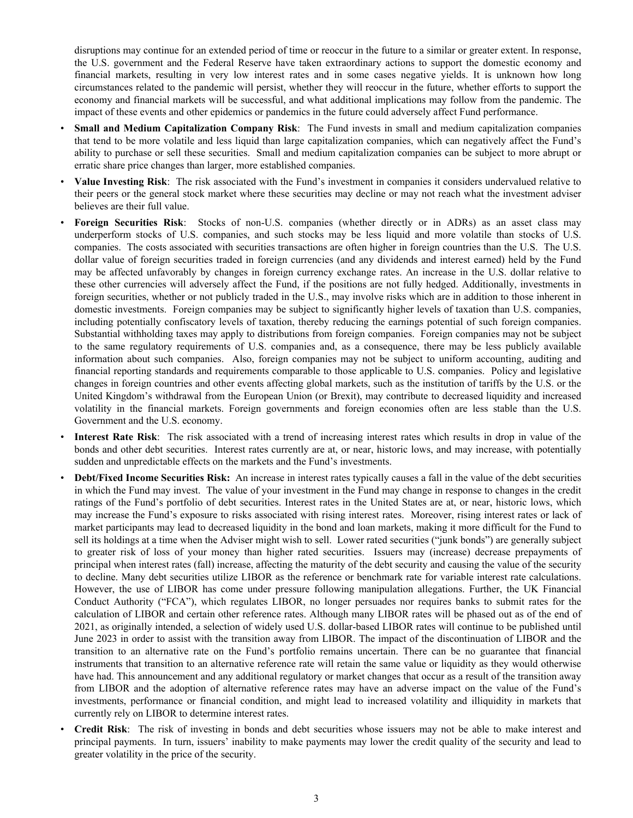disruptions may continue for an extended period of time or reoccur in the future to a similar or greater extent. In response, the U.S. government and the Federal Reserve have taken extraordinary actions to support the domestic economy and financial markets, resulting in very low interest rates and in some cases negative yields. It is unknown how long circumstances related to the pandemic will persist, whether they will reoccur in the future, whether efforts to support the economy and financial markets will be successful, and what additional implications may follow from the pandemic. The impact of these events and other epidemics or pandemics in the future could adversely affect Fund performance.

- **Small and Medium Capitalization Company Risk**: The Fund invests in small and medium capitalization companies that tend to be more volatile and less liquid than large capitalization companies, which can negatively affect the Fund's ability to purchase or sell these securities. Small and medium capitalization companies can be subject to more abrupt or erratic share price changes than larger, more established companies.
- **Value Investing Risk**: The risk associated with the Fund's investment in companies it considers undervalued relative to their peers or the general stock market where these securities may decline or may not reach what the investment adviser believes are their full value.
- **Foreign Securities Risk**: Stocks of non-U.S. companies (whether directly or in ADRs) as an asset class may underperform stocks of U.S. companies, and such stocks may be less liquid and more volatile than stocks of U.S. companies. The costs associated with securities transactions are often higher in foreign countries than the U.S. The U.S. dollar value of foreign securities traded in foreign currencies (and any dividends and interest earned) held by the Fund may be affected unfavorably by changes in foreign currency exchange rates. An increase in the U.S. dollar relative to these other currencies will adversely affect the Fund, if the positions are not fully hedged. Additionally, investments in foreign securities, whether or not publicly traded in the U.S., may involve risks which are in addition to those inherent in domestic investments. Foreign companies may be subject to significantly higher levels of taxation than U.S. companies, including potentially confiscatory levels of taxation, thereby reducing the earnings potential of such foreign companies. Substantial withholding taxes may apply to distributions from foreign companies. Foreign companies may not be subject to the same regulatory requirements of U.S. companies and, as a consequence, there may be less publicly available information about such companies. Also, foreign companies may not be subject to uniform accounting, auditing and financial reporting standards and requirements comparable to those applicable to U.S. companies. Policy and legislative changes in foreign countries and other events affecting global markets, such as the institution of tariffs by the U.S. or the United Kingdom's withdrawal from the European Union (or Brexit), may contribute to decreased liquidity and increased volatility in the financial markets. Foreign governments and foreign economies often are less stable than the U.S. Government and the U.S. economy.
- **Interest Rate Risk**: The risk associated with a trend of increasing interest rates which results in drop in value of the bonds and other debt securities. Interest rates currently are at, or near, historic lows, and may increase, with potentially sudden and unpredictable effects on the markets and the Fund's investments.
- **Debt/Fixed Income Securities Risk:** An increase in interest rates typically causes a fall in the value of the debt securities in which the Fund may invest. The value of your investment in the Fund may change in response to changes in the credit ratings of the Fund's portfolio of debt securities. Interest rates in the United States are at, or near, historic lows, which may increase the Fund's exposure to risks associated with rising interest rates. Moreover, rising interest rates or lack of market participants may lead to decreased liquidity in the bond and loan markets, making it more difficult for the Fund to sell its holdings at a time when the Adviser might wish to sell. Lower rated securities ("junk bonds") are generally subject to greater risk of loss of your money than higher rated securities. Issuers may (increase) decrease prepayments of principal when interest rates (fall) increase, affecting the maturity of the debt security and causing the value of the security to decline. Many debt securities utilize LIBOR as the reference or benchmark rate for variable interest rate calculations. However, the use of LIBOR has come under pressure following manipulation allegations. Further, the UK Financial Conduct Authority ("FCA"), which regulates LIBOR, no longer persuades nor requires banks to submit rates for the calculation of LIBOR and certain other reference rates. Although many LIBOR rates will be phased out as of the end of 2021, as originally intended, a selection of widely used U.S. dollar-based LIBOR rates will continue to be published until June 2023 in order to assist with the transition away from LIBOR. The impact of the discontinuation of LIBOR and the transition to an alternative rate on the Fund's portfolio remains uncertain. There can be no guarantee that financial instruments that transition to an alternative reference rate will retain the same value or liquidity as they would otherwise have had. This announcement and any additional regulatory or market changes that occur as a result of the transition away from LIBOR and the adoption of alternative reference rates may have an adverse impact on the value of the Fund's investments, performance or financial condition, and might lead to increased volatility and illiquidity in markets that currently rely on LIBOR to determine interest rates.
- **Credit Risk**: The risk of investing in bonds and debt securities whose issuers may not be able to make interest and principal payments. In turn, issuers' inability to make payments may lower the credit quality of the security and lead to greater volatility in the price of the security.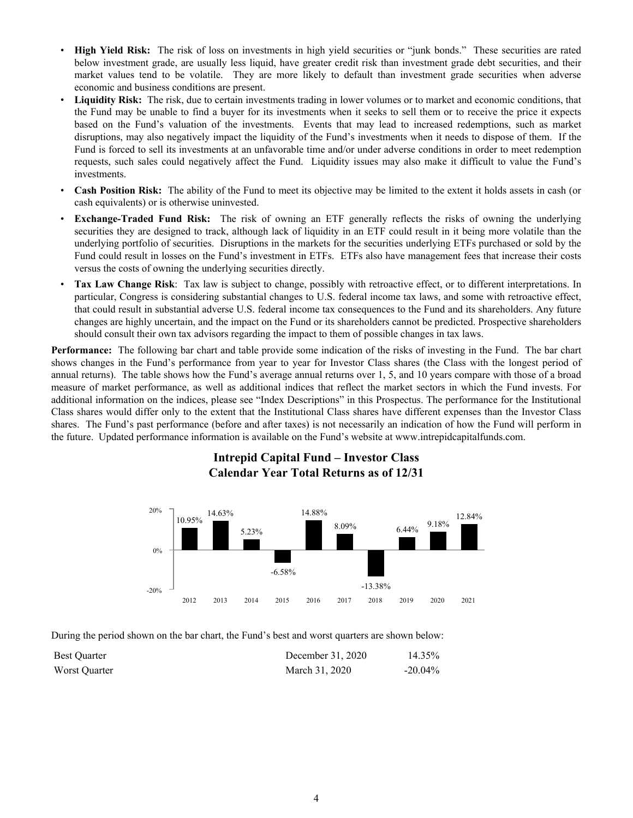- **High Yield Risk:** The risk of loss on investments in high yield securities or "junk bonds." These securities are rated below investment grade, are usually less liquid, have greater credit risk than investment grade debt securities, and their market values tend to be volatile. They are more likely to default than investment grade securities when adverse economic and business conditions are present.
- **Liquidity Risk:** The risk, due to certain investments trading in lower volumes or to market and economic conditions, that the Fund may be unable to find a buyer for its investments when it seeks to sell them or to receive the price it expects based on the Fund's valuation of the investments. Events that may lead to increased redemptions, such as market disruptions, may also negatively impact the liquidity of the Fund's investments when it needs to dispose of them. If the Fund is forced to sell its investments at an unfavorable time and/or under adverse conditions in order to meet redemption requests, such sales could negatively affect the Fund. Liquidity issues may also make it difficult to value the Fund's investments.
- **Cash Position Risk:** The ability of the Fund to meet its objective may be limited to the extent it holds assets in cash (or cash equivalents) or is otherwise uninvested.
- **Exchange-Traded Fund Risk:** The risk of owning an ETF generally reflects the risks of owning the underlying securities they are designed to track, although lack of liquidity in an ETF could result in it being more volatile than the underlying portfolio of securities. Disruptions in the markets for the securities underlying ETFs purchased or sold by the Fund could result in losses on the Fund's investment in ETFs. ETFs also have management fees that increase their costs versus the costs of owning the underlying securities directly.
- **Tax Law Change Risk**: Tax law is subject to change, possibly with retroactive effect, or to different interpretations. In particular, Congress is considering substantial changes to U.S. federal income tax laws, and some with retroactive effect, that could result in substantial adverse U.S. federal income tax consequences to the Fund and its shareholders. Any future changes are highly uncertain, and the impact on the Fund or its shareholders cannot be predicted. Prospective shareholders should consult their own tax advisors regarding the impact to them of possible changes in tax laws.

**Performance:** The following bar chart and table provide some indication of the risks of investing in the Fund. The bar chart shows changes in the Fund's performance from year to year for Investor Class shares (the Class with the longest period of annual returns). The table shows how the Fund's average annual returns over 1, 5, and 10 years compare with those of a broad measure of market performance, as well as additional indices that reflect the market sectors in which the Fund invests. For additional information on the indices, please see "Index Descriptions" in this Prospectus. The performance for the Institutional Class shares would differ only to the extent that the Institutional Class shares have different expenses than the Investor Class shares. The Fund's past performance (before and after taxes) is not necessarily an indication of how the Fund will perform in the future. Updated performance information is available on the Fund's website at www.intrepidcapitalfunds.com.

## **Intrepid Capital Fund – Investor Class Calendar Year Total Returns as of 12/31**



During the period shown on the bar chart, the Fund's best and worst quarters are shown below:

| <b>Best Ouarter</b> | December 31, 2020 | 14.35%     |
|---------------------|-------------------|------------|
| Worst Ouarter       | March 31, 2020    | $-20.04\%$ |